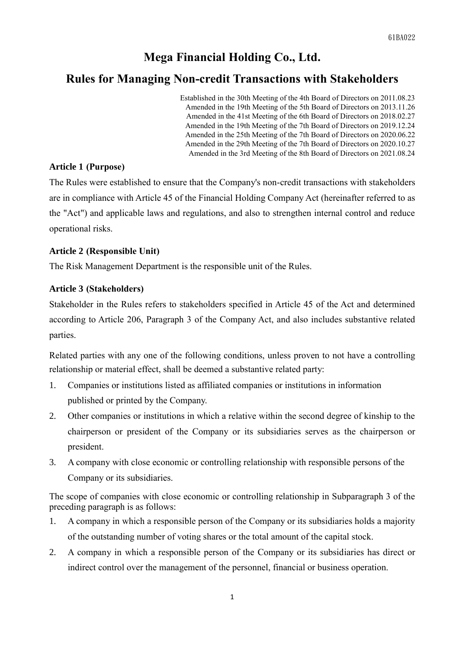## **Mega Financial Holding Co., Ltd.**

### **Rules for Managing Non-credit Transactions with Stakeholders**

Established in the 30th Meeting of the 4th Board of Directors on 2011.08.23 Amended in the 19th Meeting of the 5th Board of Directors on 2013.11.26 Amended in the 41st Meeting of the 6th Board of Directors on 2018.02.27 Amended in the 19th Meeting of the 7th Board of Directors on 2019.12.24 Amended in the 25th Meeting of the 7th Board of Directors on 2020.06.22 Amended in the 29th Meeting of the 7th Board of Directors on 2020.10.27 Amended in the 3rd Meeting of the 8th Board of Directors on 2021.08.24

#### **Article 1 (Purpose)**

The Rules were established to ensure that the Company's non-credit transactions with stakeholders are in compliance with Article 45 of the Financial Holding Company Act (hereinafter referred to as the "Act") and applicable laws and regulations, and also to strengthen internal control and reduce operational risks.

#### **Article 2 (Responsible Unit)**

The Risk Management Department is the responsible unit of the Rules.

#### **Article 3 (Stakeholders)**

Stakeholder in the Rules refers to stakeholders specified in Article 45 of the Act and determined according to Article 206, Paragraph 3 of the Company Act, and also includes substantive related parties.

Related parties with any one of the following conditions, unless proven to not have a controlling relationship or material effect, shall be deemed a substantive related party:

- 1. Companies or institutions listed as affiliated companies or institutions in information published or printed by the Company.
- 2. Other companies or institutions in which a relative within the second degree of kinship to the chairperson or president of the Company or its subsidiaries serves as the chairperson or president.
- 3. A company with close economic or controlling relationship with responsible persons of the Company or its subsidiaries.

The scope of companies with close economic or controlling relationship in Subparagraph 3 of the preceding paragraph is as follows:

- 1. A company in which a responsible person of the Company or its subsidiaries holds a majority of the outstanding number of voting shares or the total amount of the capital stock.
- 2. A company in which a responsible person of the Company or its subsidiaries has direct or indirect control over the management of the personnel, financial or business operation.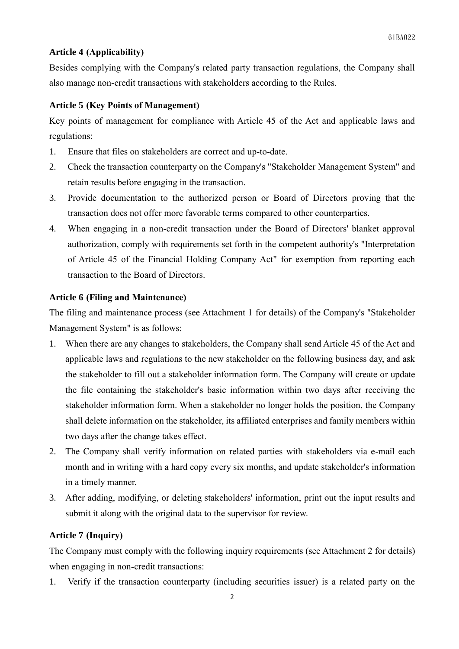#### **Article 4 (Applicability)**

Besides complying with the Company's related party transaction regulations, the Company shall also manage non-credit transactions with stakeholders according to the Rules.

#### **Article 5 (Key Points of Management)**

Key points of management for compliance with Article 45 of the Act and applicable laws and regulations:

- 1. Ensure that files on stakeholders are correct and up-to-date.
- 2. Check the transaction counterparty on the Company's "Stakeholder Management System" and retain results before engaging in the transaction.
- 3. Provide documentation to the authorized person or Board of Directors proving that the transaction does not offer more favorable terms compared to other counterparties.
- 4. When engaging in a non-credit transaction under the Board of Directors' blanket approval authorization, comply with requirements set forth in the competent authority's "Interpretation of Article 45 of the Financial Holding Company Act" for exemption from reporting each transaction to the Board of Directors.

#### **Article 6 (Filing and Maintenance)**

The filing and maintenance process (see Attachment 1 for details) of the Company's "Stakeholder Management System" is as follows:

- 1. When there are any changes to stakeholders, the Company shall send Article 45 of the Act and applicable laws and regulations to the new stakeholder on the following business day, and ask the stakeholder to fill out a stakeholder information form. The Company will create or update the file containing the stakeholder's basic information within two days after receiving the stakeholder information form. When a stakeholder no longer holds the position, the Company shall delete information on the stakeholder, its affiliated enterprises and family members within two days after the change takes effect.
- 2. The Company shall verify information on related parties with stakeholders via e-mail each month and in writing with a hard copy every six months, and update stakeholder's information in a timely manner.
- 3. After adding, modifying, or deleting stakeholders' information, print out the input results and submit it along with the original data to the supervisor for review.

#### **Article 7 (Inquiry)**

The Company must comply with the following inquiry requirements (see Attachment 2 for details) when engaging in non-credit transactions:

1. Verify if the transaction counterparty (including securities issuer) is a related party on the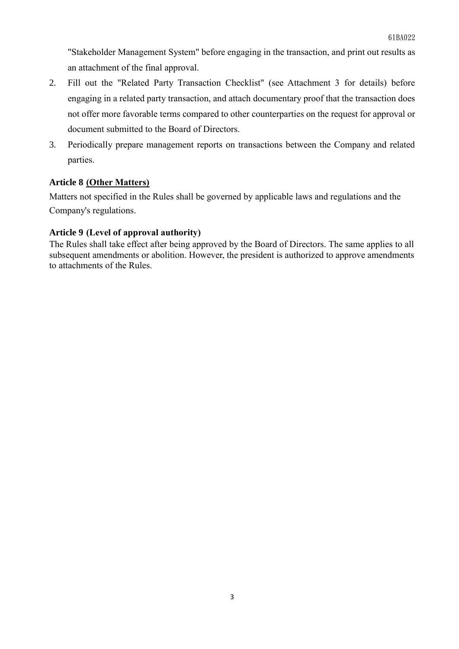"Stakeholder Management System" before engaging in the transaction, and print out results as an attachment of the final approval.

- 2. Fill out the "Related Party Transaction Checklist" (see Attachment 3 for details) before engaging in a related party transaction, and attach documentary proof that the transaction does not offer more favorable terms compared to other counterparties on the request for approval or document submitted to the Board of Directors.
- 3. Periodically prepare management reports on transactions between the Company and related parties.

#### **Article 8 (Other Matters)**

Matters not specified in the Rules shall be governed by applicable laws and regulations and the Company's regulations.

#### **Article 9 (Level of approval authority)**

The Rules shall take effect after being approved by the Board of Directors. The same applies to all subsequent amendments or abolition. However, the president is authorized to approve amendments to attachments of the Rules.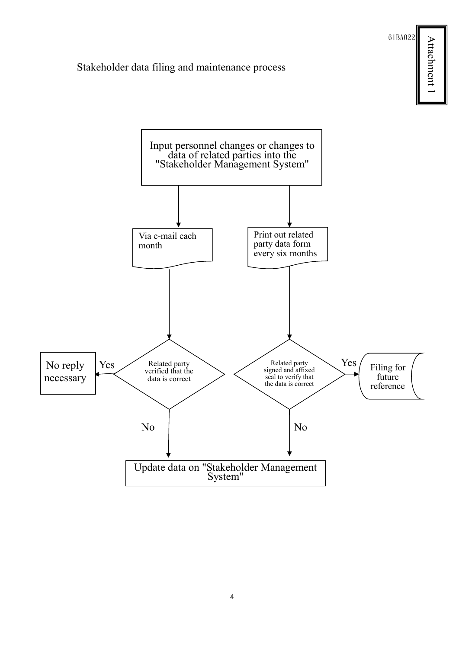61BA022

Attachment 1 Attachment 1

#### Stakeholder data filing and maintenance process



4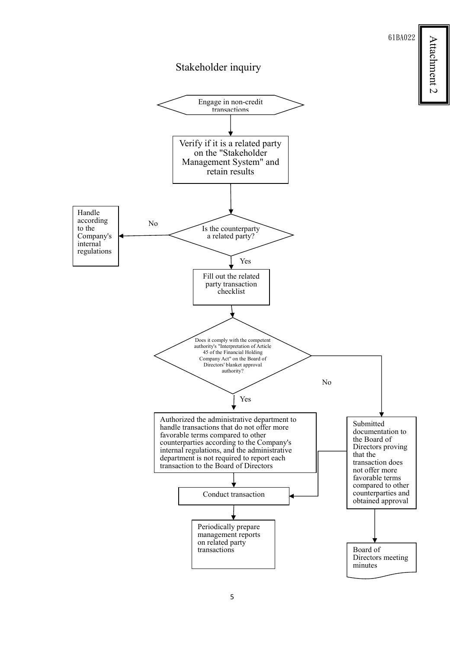61BA022

# Attachment 2 Attachment 2



Stakeholder inquiry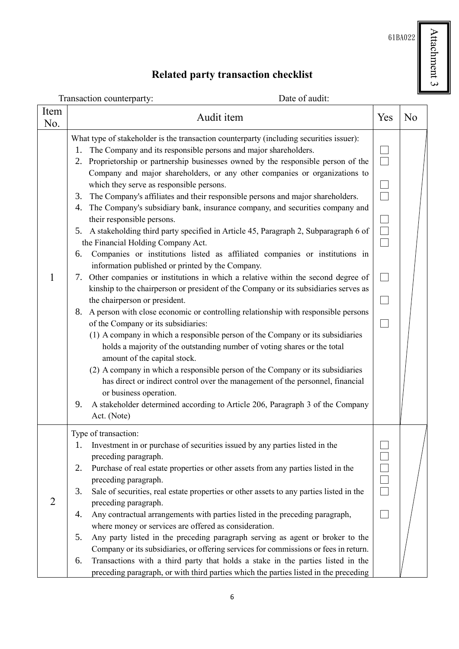$61BA022$   $\begin{tabular}{|c|c|} \hline \multicolumn{1}{|c|}{}\hline \multicolumn{1}{|c|}{\textbf{2}}\\ \hline \multicolumn{1}{|c|}{\textbf{4}}\\ \hline \multicolumn{1}{|c|}{\textbf{5}}\\ \hline \multicolumn{1}{|c|}{\textbf{6}}\\ \hline \multicolumn{1}{|c|}{\textbf{6}}\\ \hline \multicolumn{1}{|c|}{\textbf{6}}\\ \hline \multicolumn{1}{|c|}{\textbf{6}}\\ \hline \multicolumn{1}{|c|}{\textbf{6}}\\ \hline \multicolumn{1}{|c|}{\textbf$ Attachment 3

# **Related party transaction checklist**

|             | Date of audit:<br>Transaction counterparty:                                                                                                                                                                                                                                                                                                                                                                                                                                                                                                                                                                                                                                                                                                                                                                                                                                                                                                                                                                                                                                                                                                                                                                                                                                                                                                                                                                                                                                                                                                                                                                                                                                                                                   |                                            |                |
|-------------|-------------------------------------------------------------------------------------------------------------------------------------------------------------------------------------------------------------------------------------------------------------------------------------------------------------------------------------------------------------------------------------------------------------------------------------------------------------------------------------------------------------------------------------------------------------------------------------------------------------------------------------------------------------------------------------------------------------------------------------------------------------------------------------------------------------------------------------------------------------------------------------------------------------------------------------------------------------------------------------------------------------------------------------------------------------------------------------------------------------------------------------------------------------------------------------------------------------------------------------------------------------------------------------------------------------------------------------------------------------------------------------------------------------------------------------------------------------------------------------------------------------------------------------------------------------------------------------------------------------------------------------------------------------------------------------------------------------------------------|--------------------------------------------|----------------|
| Item<br>No. | Audit item                                                                                                                                                                                                                                                                                                                                                                                                                                                                                                                                                                                                                                                                                                                                                                                                                                                                                                                                                                                                                                                                                                                                                                                                                                                                                                                                                                                                                                                                                                                                                                                                                                                                                                                    | Yes                                        | N <sub>o</sub> |
|             | What type of stakeholder is the transaction counterparty (including securities issuer):<br>The Company and its responsible persons and major shareholders.<br>1.<br>Proprietorship or partnership businesses owned by the responsible person of the<br>2.<br>Company and major shareholders, or any other companies or organizations to<br>which they serve as responsible persons.<br>The Company's affiliates and their responsible persons and major shareholders.<br>3.<br>The Company's subsidiary bank, insurance company, and securities company and<br>4.<br>their responsible persons.<br>5. A stakeholding third party specified in Article 45, Paragraph 2, Subparagraph 6 of<br>the Financial Holding Company Act.<br>Companies or institutions listed as affiliated companies or institutions in<br>6.<br>information published or printed by the Company.<br>Other companies or institutions in which a relative within the second degree of<br>7.<br>kinship to the chairperson or president of the Company or its subsidiaries serves as<br>the chairperson or president.<br>A person with close economic or controlling relationship with responsible persons<br>8.<br>of the Company or its subsidiaries:<br>(1) A company in which a responsible person of the Company or its subsidiaries<br>holds a majority of the outstanding number of voting shares or the total<br>amount of the capital stock.<br>(2) A company in which a responsible person of the Company or its subsidiaries<br>has direct or indirect control over the management of the personnel, financial<br>or business operation.<br>A stakeholder determined according to Article 206, Paragraph 3 of the Company<br>9.<br>Act. (Note) | ٦<br>$\overline{\Box}$<br>$\frac{1}{\Box}$ |                |
|             | Type of transaction:<br>Investment in or purchase of securities issued by any parties listed in the<br>1.<br>preceding paragraph.<br>Purchase of real estate properties or other assets from any parties listed in the<br>2.<br>preceding paragraph.<br>3.<br>Sale of securities, real estate properties or other assets to any parties listed in the<br>preceding paragraph.<br>Any contractual arrangements with parties listed in the preceding paragraph,<br>4.<br>where money or services are offered as consideration.<br>5.<br>Any party listed in the preceding paragraph serving as agent or broker to the<br>Company or its subsidiaries, or offering services for commissions or fees in return.<br>Transactions with a third party that holds a stake in the parties listed in the<br>6.<br>preceding paragraph, or with third parties which the parties listed in the preceding                                                                                                                                                                                                                                                                                                                                                                                                                                                                                                                                                                                                                                                                                                                                                                                                                                  |                                            |                |